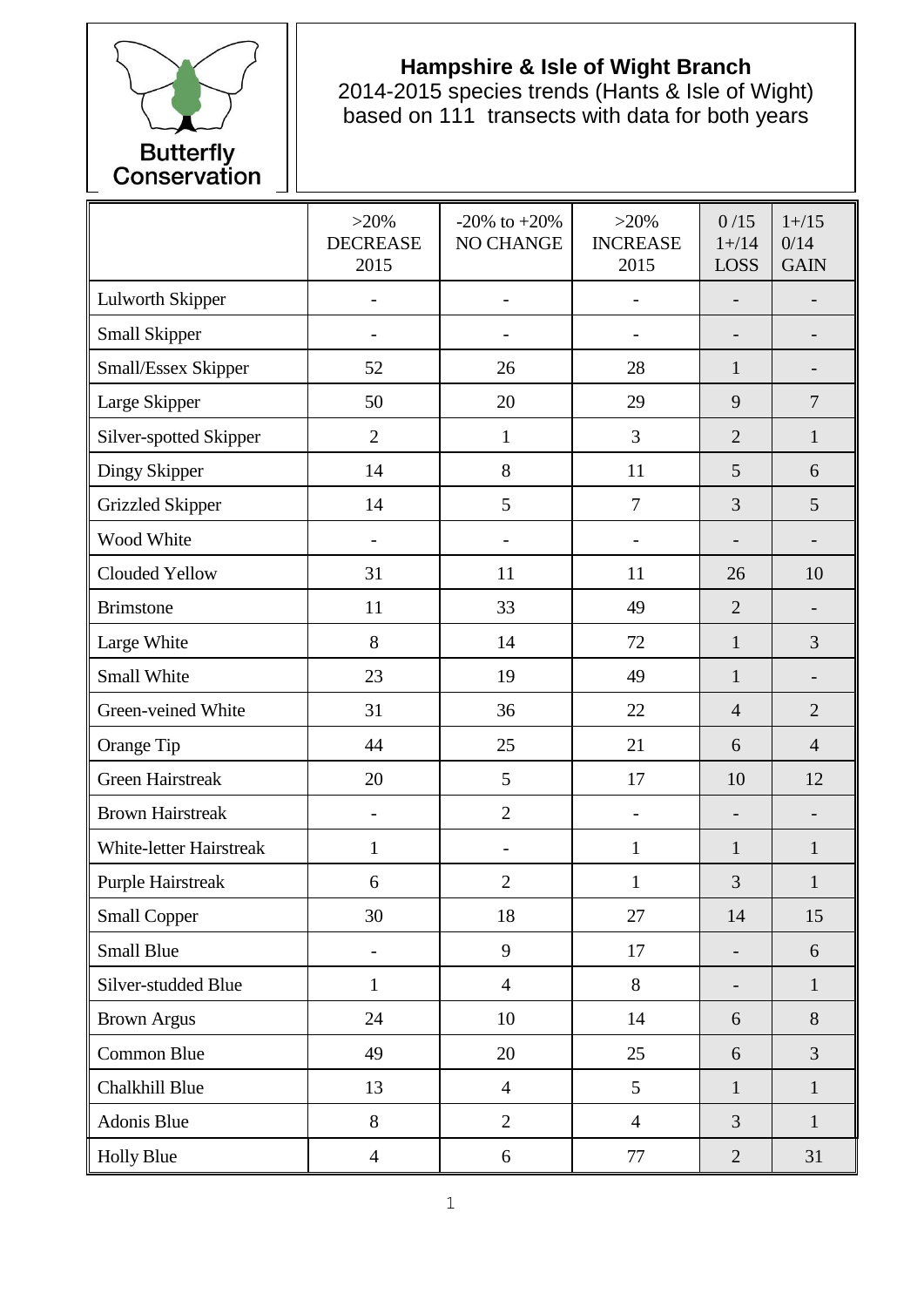

## **Hampshire & Isle of Wight Branch**

2014-2015 species trends (Hants & Isle of Wight) based on 111 transects with data for both years

|                          | $>20\%$<br><b>DECREASE</b><br>2015 | $-20\%$ to $+20\%$<br>NO CHANGE | $>20\%$<br><b>INCREASE</b><br>2015 | 0/15<br>$1 + / 14$<br><b>LOSS</b> | $1 + / 15$<br>0/14<br><b>GAIN</b> |
|--------------------------|------------------------------------|---------------------------------|------------------------------------|-----------------------------------|-----------------------------------|
| <b>Lulworth Skipper</b>  |                                    | $\blacksquare$                  |                                    |                                   |                                   |
| Small Skipper            |                                    |                                 |                                    |                                   |                                   |
| Small/Essex Skipper      | 52                                 | 26                              | 28                                 | $\mathbf{1}$                      | $\qquad \qquad \blacksquare$      |
| Large Skipper            | 50                                 | 20                              | 29                                 | 9                                 | $\overline{7}$                    |
| Silver-spotted Skipper   | $\overline{2}$                     | $\mathbf{1}$                    | 3                                  | $\overline{2}$                    | $\mathbf{1}$                      |
| Dingy Skipper            | 14                                 | 8                               | 11                                 | 5                                 | 6                                 |
| <b>Grizzled Skipper</b>  | 14                                 | 5                               | $\overline{7}$                     | 3                                 | 5                                 |
| Wood White               |                                    |                                 |                                    |                                   |                                   |
| Clouded Yellow           | 31                                 | 11                              | 11                                 | 26                                | 10                                |
| <b>Brimstone</b>         | 11                                 | 33                              | 49                                 | $\overline{2}$                    | $\overline{\phantom{0}}$          |
| Large White              | 8                                  | 14                              | 72                                 | $\mathbf{1}$                      | 3                                 |
| Small White              | 23                                 | 19                              | 49                                 | $\mathbf{1}$                      |                                   |
| Green-veined White       | 31                                 | 36                              | 22                                 | $\overline{4}$                    | $\overline{2}$                    |
| Orange Tip               | 44                                 | 25                              | 21                                 | 6                                 | $\overline{4}$                    |
| <b>Green Hairstreak</b>  | 20                                 | 5                               | 17                                 | 10                                | 12                                |
| <b>Brown Hairstreak</b>  | $\overline{\phantom{a}}$           | $\overline{2}$                  | $\overline{\phantom{0}}$           | $\overline{a}$                    | $\overline{\phantom{0}}$          |
| White-letter Hairstreak  | $\mathbf{1}$                       |                                 | $\mathbf{1}$                       | $\mathbf{1}$                      | $\mathbf{1}$                      |
| <b>Purple Hairstreak</b> | 6                                  | $\overline{2}$                  | 1                                  | 3                                 | $\mathbf{1}$                      |
| <b>Small Copper</b>      | 30                                 | 18                              | 27                                 | 14                                | 15                                |
| <b>Small Blue</b>        |                                    | 9                               | 17                                 | $\overline{\phantom{0}}$          | 6                                 |
| Silver-studded Blue      | $\mathbf{1}$                       | $\overline{4}$                  | 8                                  | $\overline{\phantom{0}}$          | $\mathbf{1}$                      |
| <b>Brown Argus</b>       | 24                                 | 10                              | 14                                 | 6                                 | 8                                 |
| Common Blue              | 49                                 | 20                              | 25                                 | 6                                 | $\overline{3}$                    |
| Chalkhill Blue           | 13                                 | $\overline{4}$                  | 5                                  | $\mathbf{1}$                      | $\mathbf{1}$                      |
| Adonis Blue              | 8                                  | $\overline{2}$                  | $\overline{4}$                     | 3                                 | $\mathbf{1}$                      |
| <b>Holly Blue</b>        | $\overline{4}$                     | $\sqrt{6}$                      | 77                                 | $\overline{2}$                    | 31                                |